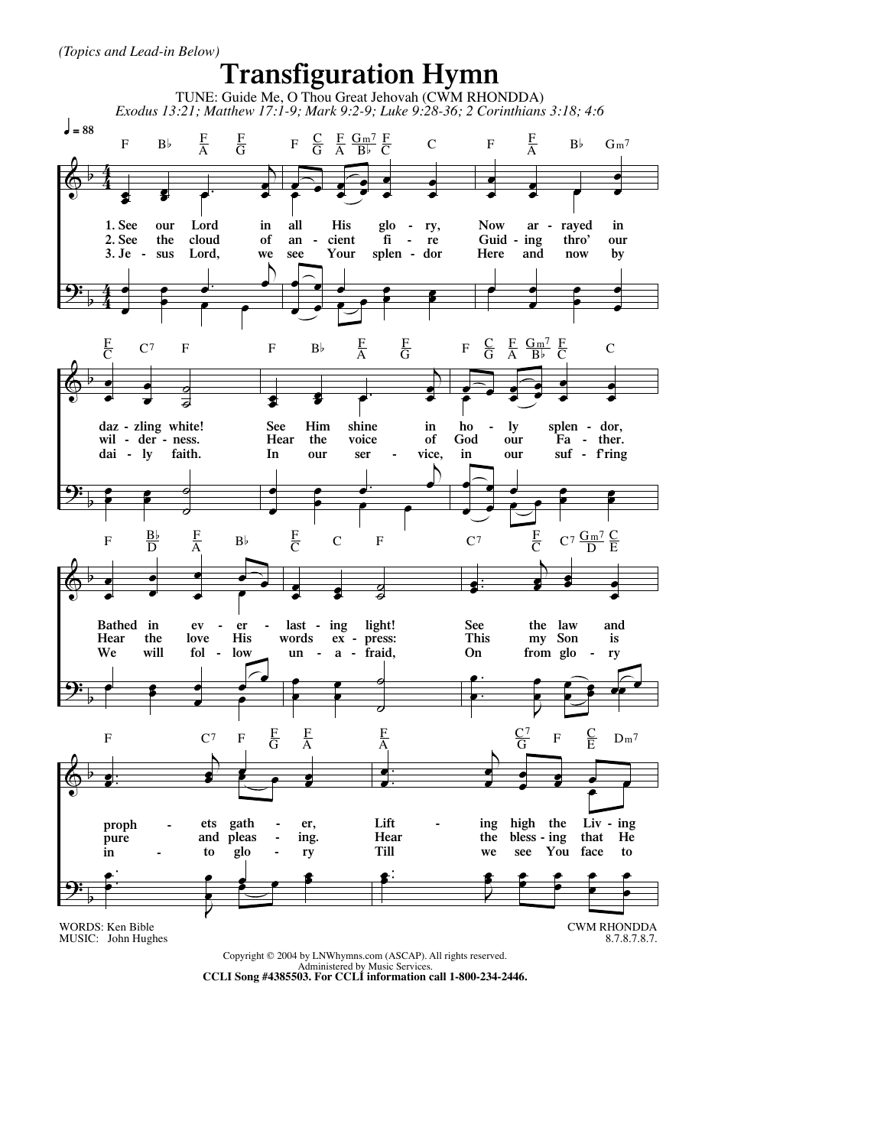*(Topics and Lead-in Below)*



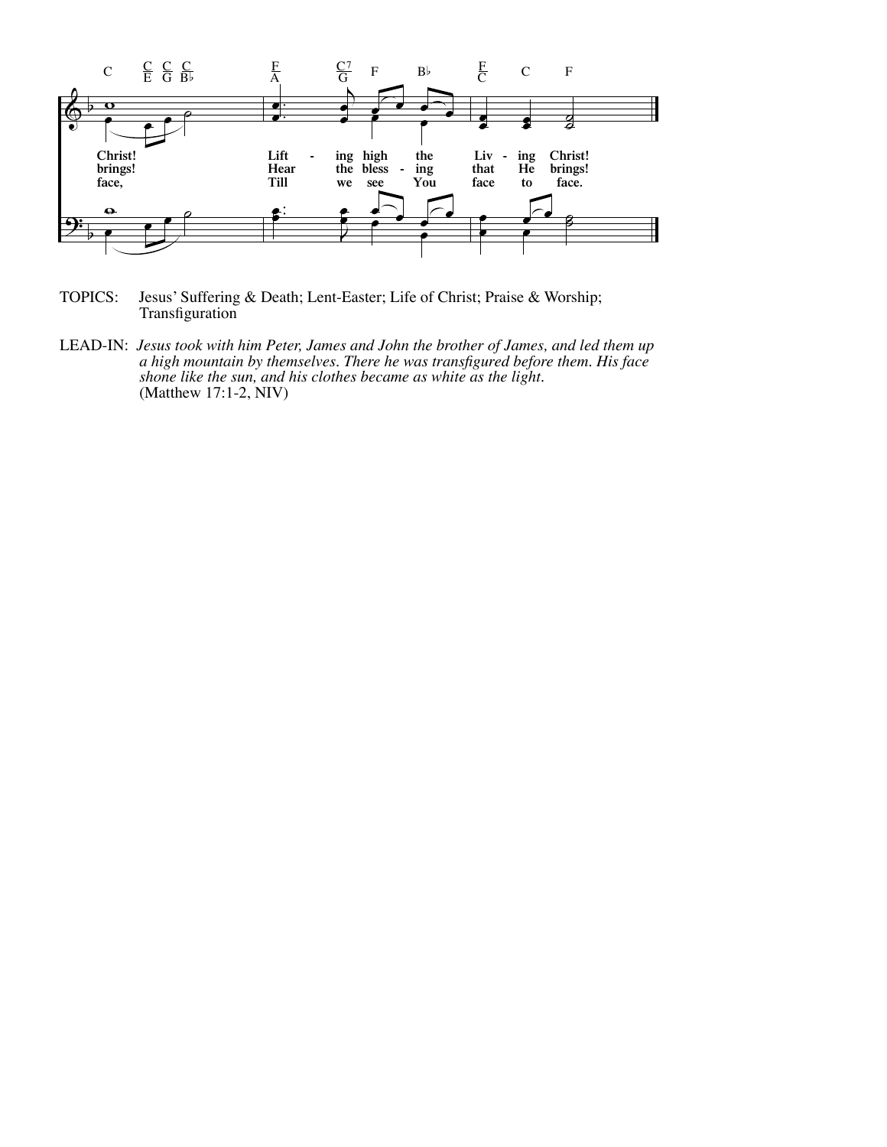

TOPICS: Jesus' Suffering & Death; Lent-Easter; Life of Christ; Praise & Worship; Transfiguration

LEAD-IN: *Jesus took with him Peter, James and John the brother of James, and led them up a high mountain by themselves. There he was transfigured before them. His face shone like the sun, and his clothes became as white as the light.*  (Matthew 17:1-2, NIV)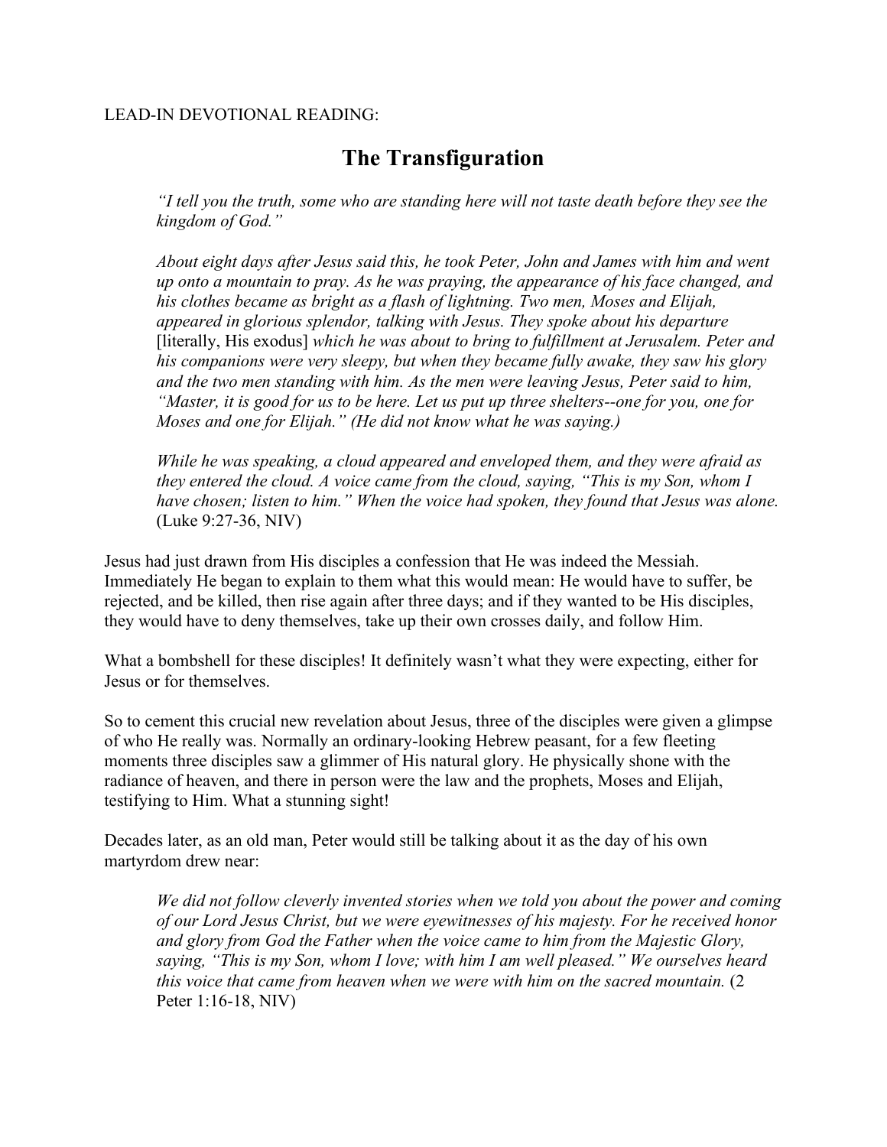## LEAD-IN DEVOTIONAL READING:

## **The Transfiguration**

*"I tell you the truth, some who are standing here will not taste death before they see the kingdom of God."*

*About eight days after Jesus said this, he took Peter, John and James with him and went up onto a mountain to pray. As he was praying, the appearance of his face changed, and his clothes became as bright as a flash of lightning. Two men, Moses and Elijah, appeared in glorious splendor, talking with Jesus. They spoke about his departure* [literally, His exodus] *which he was about to bring to fulfillment at Jerusalem. Peter and his companions were very sleepy, but when they became fully awake, they saw his glory and the two men standing with him. As the men were leaving Jesus, Peter said to him, "Master, it is good for us to be here. Let us put up three shelters--one for you, one for Moses and one for Elijah." (He did not know what he was saying.)*

*While he was speaking, a cloud appeared and enveloped them, and they were afraid as they entered the cloud. A voice came from the cloud, saying, "This is my Son, whom I have chosen; listen to him." When the voice had spoken, they found that Jesus was alone.* (Luke 9:27-36, NIV)

Jesus had just drawn from His disciples a confession that He was indeed the Messiah. Immediately He began to explain to them what this would mean: He would have to suffer, be rejected, and be killed, then rise again after three days; and if they wanted to be His disciples, they would have to deny themselves, take up their own crosses daily, and follow Him.

What a bombshell for these disciples! It definitely wasn't what they were expecting, either for Jesus or for themselves.

So to cement this crucial new revelation about Jesus, three of the disciples were given a glimpse of who He really was. Normally an ordinary-looking Hebrew peasant, for a few fleeting moments three disciples saw a glimmer of His natural glory. He physically shone with the radiance of heaven, and there in person were the law and the prophets, Moses and Elijah, testifying to Him. What a stunning sight!

Decades later, as an old man, Peter would still be talking about it as the day of his own martyrdom drew near:

*We did not follow cleverly invented stories when we told you about the power and coming of our Lord Jesus Christ, but we were eyewitnesses of his majesty. For he received honor and glory from God the Father when the voice came to him from the Majestic Glory, saying, "This is my Son, whom I love; with him I am well pleased." We ourselves heard this voice that came from heaven when we were with him on the sacred mountain.* (2 Peter 1:16-18, NIV)